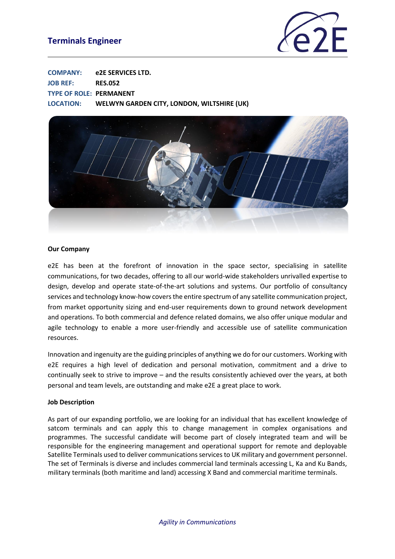# **Terminals Engineer**



| <b>COMPANY:</b>                | e2E SERVICES LTD.                          |
|--------------------------------|--------------------------------------------|
| <b>JOB REF:</b>                | <b>RES.052</b>                             |
| <b>TYPE OF ROLE: PERMANENT</b> |                                            |
| <b>LOCATION:</b>               | WELWYN GARDEN CITY, LONDON, WILTSHIRE (UK) |



#### **Our Company**

e2E has been at the forefront of innovation in the space sector, specialising in satellite communications, for two decades, offering to all our world-wide stakeholders unrivalled expertise to design, develop and operate state-of-the-art solutions and systems. Our portfolio of consultancy services and technology know-how covers the entire spectrum of any satellite communication project, from market opportunity sizing and end-user requirements down to ground network development and operations. To both commercial and defence related domains, we also offer unique modular and agile technology to enable a more user-friendly and accessible use of satellite communication resources.

Innovation and ingenuity are the guiding principles of anything we do for our customers. Working with e2E requires a high level of dedication and personal motivation, commitment and a drive to continually seek to strive to improve – and the results consistently achieved over the years, at both personal and team levels, are outstanding and make e2E a great place to work.

#### **Job Description**

As part of our expanding portfolio, we are looking for an individual that has excellent knowledge of satcom terminals and can apply this to change management in complex organisations and programmes. The successful candidate will become part of closely integrated team and will be responsible for the engineering management and operational support for remote and deployable Satellite Terminals used to deliver communications services to UK military and government personnel. The set of Terminals is diverse and includes commercial land terminals accessing L, Ka and Ku Bands, military terminals (both maritime and land) accessing X Band and commercial maritime terminals.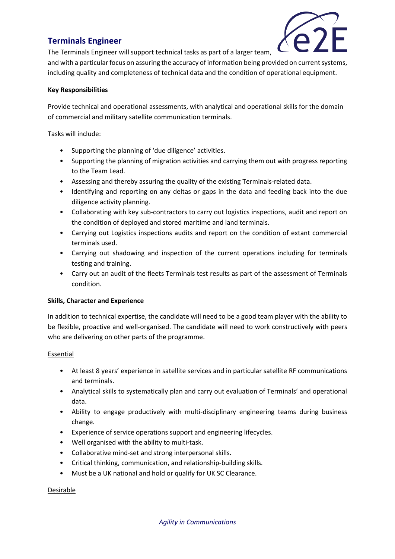# **Terminals Engineer**



The Terminals Engineer will support technical tasks as part of a larger team,

and with a particular focus on assuring the accuracy of information being provided on current systems, including quality and completeness of technical data and the condition of operational equipment.

## **Key Responsibilities**

Provide technical and operational assessments, with analytical and operational skills for the domain of commercial and military satellite communication terminals.

Tasks will include:

- Supporting the planning of 'due diligence' activities.
- Supporting the planning of migration activities and carrying them out with progress reporting to the Team Lead.
- Assessing and thereby assuring the quality of the existing Terminals-related data.
- Identifying and reporting on any deltas or gaps in the data and feeding back into the due diligence activity planning.
- Collaborating with key sub-contractors to carry out logistics inspections, audit and report on the condition of deployed and stored maritime and land terminals.
- Carrying out Logistics inspections audits and report on the condition of extant commercial terminals used.
- Carrying out shadowing and inspection of the current operations including for terminals testing and training.
- Carry out an audit of the fleets Terminals test results as part of the assessment of Terminals condition.

### **Skills, Character and Experience**

In addition to technical expertise, the candidate will need to be a good team player with the ability to be flexible, proactive and well-organised. The candidate will need to work constructively with peers who are delivering on other parts of the programme.

### Essential

- At least 8 years' experience in satellite services and in particular satellite RF communications and terminals.
- Analytical skills to systematically plan and carry out evaluation of Terminals' and operational data.
- Ability to engage productively with multi-disciplinary engineering teams during business change.
- Experience of service operations support and engineering lifecycles.
- Well organised with the ability to multi-task.
- Collaborative mind-set and strong interpersonal skills.
- Critical thinking, communication, and relationship-building skills.
- Must be a UK national and hold or qualify for UK SC Clearance.

### Desirable